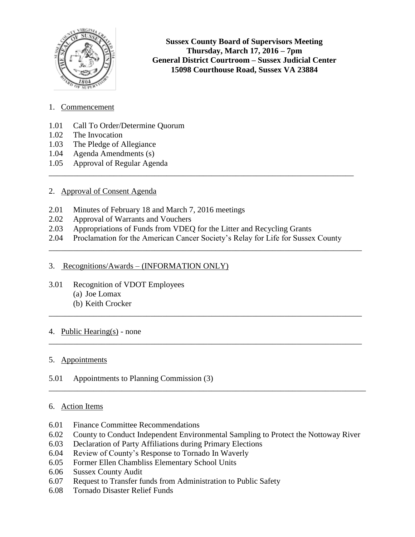

**Sussex County Board of Supervisors Meeting Thursday, March 17, 2016 – 7pm General District Courtroom – Sussex Judicial Center 15098 Courthouse Road, Sussex VA 23884**

- 1. Commencement
- 1.01 Call To Order/Determine Quorum
- 1.02 The Invocation
- 1.03 The Pledge of Allegiance
- 1.04 Agenda Amendments (s)
- 1.05 Approval of Regular Agenda

## 2. Approval of Consent Agenda

- 2.01 Minutes of February 18 and March 7, 2016 meetings
- 2.02 Approval of Warrants and Vouchers
- 2.03 Appropriations of Funds from VDEQ for the Litter and Recycling Grants
- 2.04 Proclamation for the American Cancer Society's Relay for Life for Sussex County

\_\_\_\_\_\_\_\_\_\_\_\_\_\_\_\_\_\_\_\_\_\_\_\_\_\_\_\_\_\_\_\_\_\_\_\_\_\_\_\_\_\_\_\_\_\_\_\_\_\_\_\_\_\_\_\_\_\_\_\_\_\_\_\_\_\_\_\_\_\_\_\_\_\_\_\_\_

\_\_\_\_\_\_\_\_\_\_\_\_\_\_\_\_\_\_\_\_\_\_\_\_\_\_\_\_\_\_\_\_\_\_\_\_\_\_\_\_\_\_\_\_\_\_\_\_\_\_\_\_\_\_\_\_\_\_\_\_\_\_\_\_\_\_\_\_\_\_\_\_\_\_\_\_\_

\_\_\_\_\_\_\_\_\_\_\_\_\_\_\_\_\_\_\_\_\_\_\_\_\_\_\_\_\_\_\_\_\_\_\_\_\_\_\_\_\_\_\_\_\_\_\_\_\_\_\_\_\_\_\_\_\_\_\_\_\_\_\_\_\_\_\_\_\_\_\_\_\_\_\_\_\_

\_\_\_\_\_\_\_\_\_\_\_\_\_\_\_\_\_\_\_\_\_\_\_\_\_\_\_\_\_\_\_\_\_\_\_\_\_\_\_\_\_\_\_\_\_\_\_\_\_\_\_\_\_\_\_\_\_\_\_\_\_\_\_\_\_\_\_\_\_\_\_\_\_\_\_\_\_\_

\_\_\_\_\_\_\_\_\_\_\_\_\_\_\_\_\_\_\_\_\_\_\_\_\_\_\_\_\_\_\_\_\_\_\_\_\_\_\_\_\_\_\_\_\_\_\_\_\_\_\_\_\_\_\_\_\_\_\_\_\_\_\_\_\_\_\_\_\_\_\_\_\_\_\_

## 3. Recognitions/Awards – (INFORMATION ONLY)

- 3.01 Recognition of VDOT Employees (a) Joe Lomax
	- (b) Keith Crocker

# 4. Public Hearing(s) - none

## 5. Appointments

5.01 Appointments to Planning Commission (3)

## 6. Action Items

- 6.01 Finance Committee Recommendations
- 6.02 County to Conduct Independent Environmental Sampling to Protect the Nottoway River
- 6.03 Declaration of Party Affiliations during Primary Elections
- 6.04 Review of County's Response to Tornado In Waverly
- 6.05 Former Ellen Chambliss Elementary School Units
- 6.06 Sussex County Audit
- 6.07 Request to Transfer funds from Administration to Public Safety
- 6.08 Tornado Disaster Relief Funds